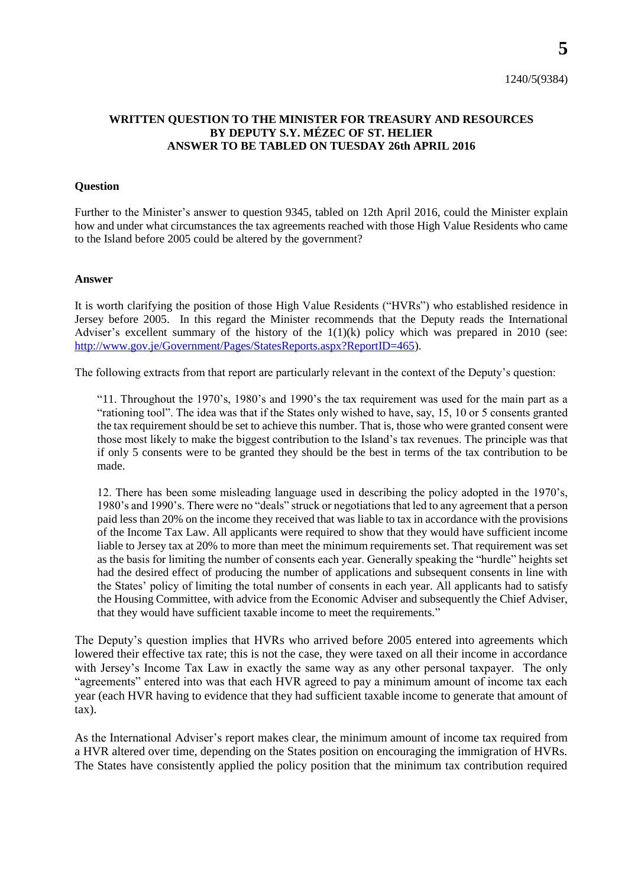## **WRITTEN QUESTION TO THE MINISTER FOR TREASURY AND RESOURCES BY DEPUTY S.Y. MÉZEC OF ST. HELIER ANSWER TO BE TABLED ON TUESDAY 26th APRIL 2016**

## **Question**

Further to the Minister's answer to question 9345, tabled on 12th April 2016, could the Minister explain how and under what circumstances the tax agreements reached with those High Value Residents who came to the Island before 2005 could be altered by the government?

## **Answer**

It is worth clarifying the position of those High Value Residents ("HVRs") who established residence in Jersey before 2005. In this regard the Minister recommends that the Deputy reads the International Adviser's excellent summary of the history of the  $1(1)(k)$  policy which was prepared in 2010 (see: [http://www.gov.je/Government/Pages/StatesReports.aspx?ReportID=465\)](http://www.gov.je/Government/Pages/StatesReports.aspx?ReportID=465).

The following extracts from that report are particularly relevant in the context of the Deputy's question:

"11. Throughout the 1970's, 1980's and 1990's the tax requirement was used for the main part as a "rationing tool". The idea was that if the States only wished to have, say, 15, 10 or 5 consents granted the tax requirement should be set to achieve this number. That is, those who were granted consent were those most likely to make the biggest contribution to the Island's tax revenues. The principle was that if only 5 consents were to be granted they should be the best in terms of the tax contribution to be made.

12. There has been some misleading language used in describing the policy adopted in the 1970's, 1980's and 1990's. There were no "deals" struck or negotiations that led to any agreement that a person paid less than 20% on the income they received that was liable to tax in accordance with the provisions of the Income Tax Law. All applicants were required to show that they would have sufficient income liable to Jersey tax at 20% to more than meet the minimum requirements set. That requirement was set as the basis for limiting the number of consents each year. Generally speaking the "hurdle" heights set had the desired effect of producing the number of applications and subsequent consents in line with the States' policy of limiting the total number of consents in each year. All applicants had to satisfy the Housing Committee, with advice from the Economic Adviser and subsequently the Chief Adviser, that they would have sufficient taxable income to meet the requirements."

The Deputy's question implies that HVRs who arrived before 2005 entered into agreements which lowered their effective tax rate; this is not the case, they were taxed on all their income in accordance with Jersey's Income Tax Law in exactly the same way as any other personal taxpayer. The only "agreements" entered into was that each HVR agreed to pay a minimum amount of income tax each year (each HVR having to evidence that they had sufficient taxable income to generate that amount of tax).

As the International Adviser's report makes clear, the minimum amount of income tax required from a HVR altered over time, depending on the States position on encouraging the immigration of HVRs. The States have consistently applied the policy position that the minimum tax contribution required